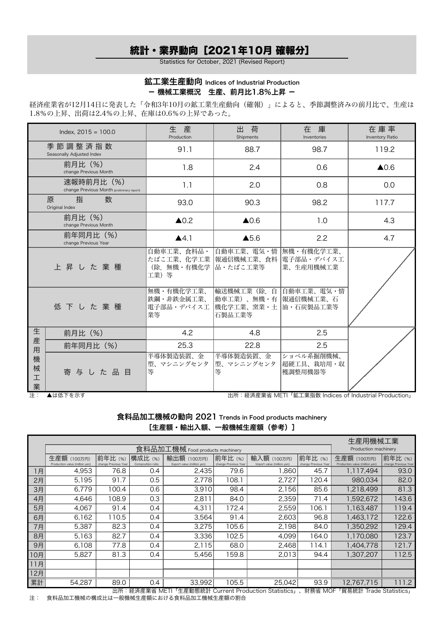# 統計・業界動向[2021年10月 確報分]

Statistics for October, 2021 (Revised Report)

## 鉱工業生産動向 Indices of Industrial Production - 機械工業概況 生産、前月比1.8%上昇 -

経済産業省が12月14日に発表した「令和3年10月の鉱工業生産動向(確報)」によると、季節調整済みの前月比で、生産は 1.8%の上昇、出荷は2.4%の上昇、在庫は0.6%の上昇であった。

| Index, $2015 = 100.0$ |                                                          | 牛<br>産<br>Production                                      | 出<br>荷<br>Shipments                                                        | 在 庫<br>Inventories                     | 在庫率<br>Inventory Ratio |
|-----------------------|----------------------------------------------------------|-----------------------------------------------------------|----------------------------------------------------------------------------|----------------------------------------|------------------------|
|                       | 季節調整済指数<br>Seasonally Adjusted Index                     | 91.1                                                      | 88.7                                                                       | 98.7                                   | 119.2                  |
|                       | 前月比 (%)<br>change Previous Month                         | 1.8                                                       | 2.4                                                                        | 0.6                                    | $\triangle$ 0.6        |
|                       | 速報時前月比 (%)<br>change Previous Month (preliminary report) | 1.1                                                       | 2.0                                                                        | 0.8                                    | 0.0                    |
|                       | 指<br>数<br>原<br>Original Index                            | 93.0                                                      | 90.3                                                                       | 98.2                                   | 117.7                  |
|                       | 前月比 (%)<br>change Previous Month                         | $\triangle$ 0.2                                           | $\triangle$ 0.6                                                            | 1.0                                    | 4.3                    |
|                       | 前年同月比(%)<br>change Previous Year                         | A4.1                                                      | $\triangle$ 5.6                                                            | 2.2                                    | 4.7                    |
|                       | 上昇した業種                                                   | 自動車工業、食料品・<br>たばこ工業、化学工業<br>(除.無機・有機化学  品・たばこ工業等<br>工業) 等 | 自動車工業、電気・情<br>報通信機械工業、食料                                                   | 無機・有機化学工業、<br> 電子部品・デバイス工<br>業、生産用機械工業 |                        |
|                       | 低下した業種                                                   | 無機・有機化学工業、<br>鉄鋼・非鉄金属工業、<br>電子部品・デバイス工<br>業等              | 輸送機械工業 (除. 自<br> 動車工業)、無機・有  報通信機械工業、石<br> 機化学工業、窯業・土  油・石炭製品工業等<br>石製品工業等 | 自動車工業、電気・情                             |                        |
| 生                     | 前月比 (%)                                                  | 4.2                                                       | 4.8                                                                        | 2.5                                    |                        |
| 産<br>用                | 前年同月比 (%)                                                | 25.3                                                      | 22.8                                                                       | 2.5                                    |                        |
| 機<br>械<br>工<br>業      | 寄与した品目                                                   | 半導体製造装置、金<br>型、マシニングセンタ<br>等                              | 半導体製造装置、金<br> 型、マシニングセンタ<br>等                                              | ショベル系掘削機械、<br>超硬工具、栽培用・収<br>穫調整用機器等    |                        |

注: ▲は低下を示す 出所:経済産業省 METI「鉱工業指数 Indices of Industrial Production」

食料品加工機械の動向 2021 Trends in Food products machinery [生産額・輸出入額、一般機械生産額(参考)]

|     | 生産用機械工業<br>食料品加工機械 Food products machinery                                                |                                |                              |                                           |                                |                                           |                                |                                               |                                |  |  |
|-----|-------------------------------------------------------------------------------------------|--------------------------------|------------------------------|-------------------------------------------|--------------------------------|-------------------------------------------|--------------------------------|-----------------------------------------------|--------------------------------|--|--|
|     |                                                                                           | Production machinery           |                              |                                           |                                |                                           |                                |                                               |                                |  |  |
|     | 生産額 (100万円)<br>Production value (million yen)                                             | 前年比(%)<br>change Previous Year | 構成比 (%)<br>Composition ratio | 輸出額 (100万円)<br>Export value (million yen) | 前年比(%)<br>change Previous Year | 輸入額 (100万円)<br>Import value (million yen) | 前年比(%)<br>change Previous Year | 生産額 (100万円)<br>Production value (million yen) | 前年比(%)<br>change Previous Year |  |  |
| 1月  | 4,953                                                                                     | 76.8                           | 0.4                          | 2,435                                     | 79.6                           | 038,1                                     | 45.7                           | 1,117,494                                     | 93.0                           |  |  |
| 2月  | 5,195                                                                                     | 91.7                           | 0.5                          | 2,778                                     | 108.1                          | 2,727                                     | 120.4                          | 980,034                                       | 82.0                           |  |  |
| 3月  | 6,779                                                                                     | 100.4                          | 0.6                          | 3,910                                     | 98.4                           | 2,156                                     | 85.6                           | 1,218,499                                     | 81.3                           |  |  |
| 4月  | 4,646                                                                                     | 108.9                          | 0.3                          | 2,811                                     | 84.0                           | 2,359                                     | 71.4                           | 1,592,672                                     | 143.6                          |  |  |
| 5月  | 4,067                                                                                     | 91.4                           | 0.4                          | 4,311                                     | 172.4                          | 2,559                                     | 106.1                          | 1,163,487                                     | 119.4                          |  |  |
| 6月  | 6,162                                                                                     | 110.5                          | 0.4                          | 3,564                                     | 91.4                           | 2,603                                     | 96.8                           | 1,463,172                                     | 122.6                          |  |  |
| 7月  | 5,387                                                                                     | 82.3                           | 0.4                          | 3,275                                     | 105.6                          | 2,198                                     | 84.0                           | 1,350,292                                     | 129.4                          |  |  |
| 8月  | 5,163                                                                                     | 82.7                           | 0.4                          | 3,336                                     | 102.5                          | 4,099                                     | 164.0                          | 1,170,080                                     | 123.7                          |  |  |
| 9月  | 6,108                                                                                     | 77.8                           | 0.4                          | 2,115                                     | 68.0                           | 2,468                                     | 114.1                          | 1,404,778                                     | 121.7                          |  |  |
| 0月  | 5,827                                                                                     | 81.3                           | 0.4                          | 5,456                                     | 159.8                          | 2,013                                     | 94.4                           | 1,307,207                                     | 112.5                          |  |  |
| 11月 |                                                                                           |                                |                              |                                           |                                |                                           |                                |                                               |                                |  |  |
| 2月  |                                                                                           |                                |                              |                                           |                                |                                           |                                |                                               |                                |  |  |
| 累計  | 54,287                                                                                    | 89.0                           | 0.4                          | 33,992                                    | 105.5                          | 25,042                                    | 93.9                           | 12,767,715                                    | 111.2                          |  |  |
|     | 山可,奴这产类少 METL「生产黏散纺乱 Current Dreak sties Ctatistics<br>H+344 NACE 「印日姑乱 Treade Ctatiotics |                                |                              |                                           |                                |                                           |                                |                                               |                                |  |  |

出所:経済産業省 METI「生産動態統計 Current Production Statistics」、財務省 MOF「貿易統計 Trade Statistics」 注: 食料品加工機械の構成比は一般機械生産額における食料品加工機械生産額の割合